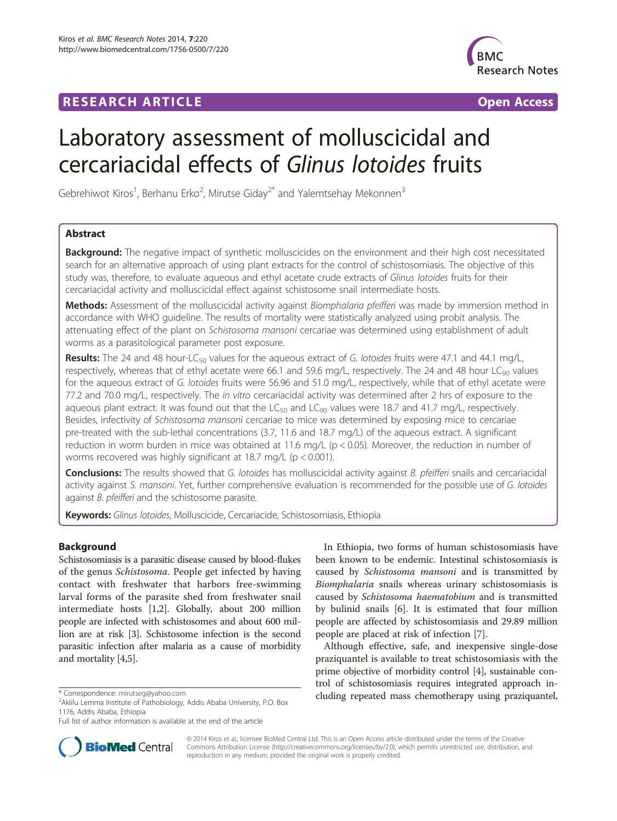# **RESEARCH ARTICLE Example 2014 CONSIDERING A RESEARCH ARTICLE**



# Laboratory assessment of molluscicidal and cercariacidal effects of Glinus lotoides fruits

Gebrehiwot Kiros<sup>1</sup>, Berhanu Erko<sup>2</sup>, Mirutse Giday<sup>2\*</sup> and Yalemtsehay Mekonnen<sup>3</sup>

# Abstract

**Background:** The negative impact of synthetic molluscicides on the environment and their high cost necessitated search for an alternative approach of using plant extracts for the control of schistosomiasis. The objective of this study was, therefore, to evaluate aqueous and ethyl acetate crude extracts of Glinus lotoides fruits for their cercariacidal activity and molluscicidal effect against schistosome snail intermediate hosts.

Methods: Assessment of the molluscicidal activity against Biomphalaria pfeifferi was made by immersion method in accordance with WHO guideline. The results of mortality were statistically analyzed using probit analysis. The attenuating effect of the plant on Schistosoma mansoni cercariae was determined using establishment of adult worms as a parasitological parameter post exposure.

Results: The 24 and 48 hour-LC<sub>50</sub> values for the aqueous extract of G. lotoides fruits were 47.1 and 44.1 mg/L, respectively, whereas that of ethyl acetate were 66.1 and 59.6 mg/L, respectively. The 24 and 48 hour  $LC_{90}$  values for the aqueous extract of G. lotoides fruits were 56.96 and 51.0 mg/L, respectively, while that of ethyl acetate were 77.2 and 70.0 mg/L, respectively. The in vitro cercariacidal activity was determined after 2 hrs of exposure to the aqueous plant extract. It was found out that the  $LC_{50}$  and  $LC_{90}$  values were 18.7 and 41.7 mg/L, respectively. Besides, infectivity of Schistosoma mansoni cercariae to mice was determined by exposing mice to cercariae pre-treated with the sub-lethal concentrations (3.7, 11.6 and 18.7 mg/L) of the aqueous extract. A significant reduction in worm burden in mice was obtained at 11.6 mg/L (p < 0.05). Moreover, the reduction in number of worms recovered was highly significant at 18.7 mg/L (p < 0.001).

**Conclusions:** The results showed that G. lotoides has molluscicidal activity against B. pfeifferi snails and cercariacidal activity against S. mansoni. Yet, further comprehensive evaluation is recommended for the possible use of G. lotoides against B. pfeifferi and the schistosome parasite.

Keywords: Glinus lotoides, Molluscicide, Cercariacide, Schistosomiasis, Ethiopia

# Background

Schistosomiasis is a parasitic disease caused by blood-flukes of the genus Schistosoma. People get infected by having contact with freshwater that harbors free-swimming larval forms of the parasite shed from freshwater snail intermediate hosts [[1,2](#page-5-0)]. Globally, about 200 million people are infected with schistosomes and about 600 million are at risk [[3\]](#page-5-0). Schistosome infection is the second parasitic infection after malaria as a cause of morbidity and mortality [\[4,5\]](#page-5-0).

In Ethiopia, two forms of human schistosomiasis have been known to be endemic. Intestinal schistosomiasis is caused by Schistosoma mansoni and is transmitted by Biomphalaria snails whereas urinary schistosomiasis is caused by Schistosoma haematobium and is transmitted by bulinid snails [[6\]](#page-5-0). It is estimated that four million people are affected by schistosomiasis and 29.89 million people are placed at risk of infection [[7](#page-5-0)].

Although effective, safe, and inexpensive single-dose praziquantel is available to treat schistosomiasis with the prime objective of morbidity control [[4](#page-5-0)], sustainable control of schistosomiasis requires integrated approach in\* Correspondence: [mirutseg@yahoo.com](mailto:mirutseg@yahoo.com) cluding repeated mass chemotherapy using praziquantel,



© 2014 Kiros et al.; licensee BioMed Central Ltd. This is an Open Access article distributed under the terms of the Creative Commons Attribution License [\(http://creativecommons.org/licenses/by/2.0\)](http://creativecommons.org/licenses/by/2.0), which permits unrestricted use, distribution, and reproduction in any medium, provided the original work is properly credited.

Aklilu Lemma Institute of Pathobiology, Addis Ababa University, P.O. Box 1176, Addis Ababa, Ethiopia

Full list of author information is available at the end of the article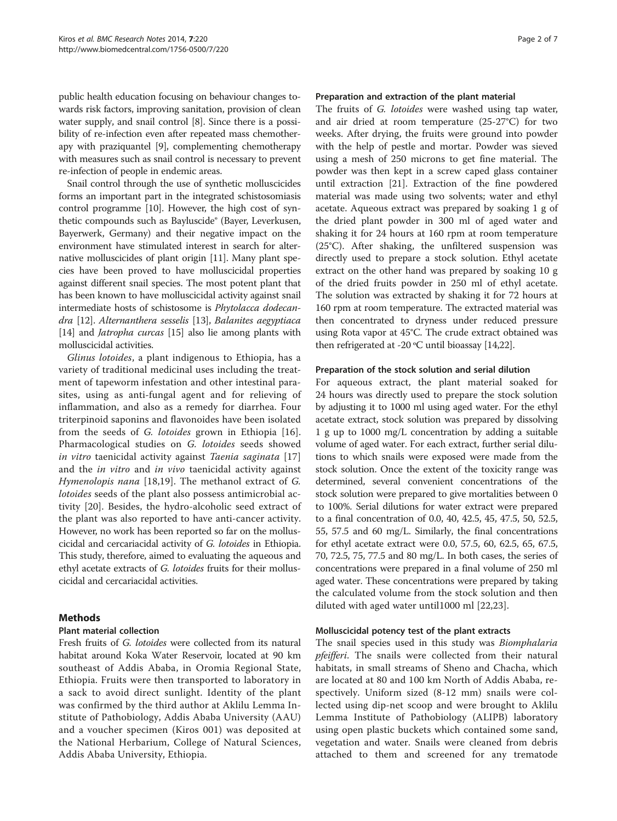public health education focusing on behaviour changes towards risk factors, improving sanitation, provision of clean water supply, and snail control [\[8\]](#page-5-0). Since there is a possibility of re-infection even after repeated mass chemotherapy with praziquantel [\[9\]](#page-5-0), complementing chemotherapy with measures such as snail control is necessary to prevent re-infection of people in endemic areas.

Snail control through the use of synthetic molluscicides forms an important part in the integrated schistosomiasis control programme [\[10\]](#page-5-0). However, the high cost of synthetic compounds such as Bayluscide® (Bayer, Leverkusen, Bayerwerk, Germany) and their negative impact on the environment have stimulated interest in search for alternative molluscicides of plant origin [[11](#page-5-0)]. Many plant species have been proved to have molluscicidal properties against different snail species. The most potent plant that has been known to have molluscicidal activity against snail intermediate hosts of schistosome is Phytolacca dodecandra [\[12\]](#page-5-0). Alternanthera sesselis [[13](#page-5-0)], Balanites aegyptiaca [[14](#page-5-0)] and *Jatropha curcas* [\[15\]](#page-5-0) also lie among plants with molluscicidal activities.

Glinus lotoides, a plant indigenous to Ethiopia, has a variety of traditional medicinal uses including the treatment of tapeworm infestation and other intestinal parasites, using as anti-fungal agent and for relieving of inflammation, and also as a remedy for diarrhea. Four triterpinoid saponins and flavonoides have been isolated from the seeds of G. lotoides grown in Ethiopia [\[16](#page-5-0)]. Pharmacological studies on G. lotoides seeds showed in vitro taenicidal activity against Taenia saginata [\[17](#page-5-0)] and the *in vitro* and *in vivo* taenicidal activity against Hymenolopis nana [[18,19](#page-5-0)]. The methanol extract of G. lotoides seeds of the plant also possess antimicrobial activity [[20\]](#page-5-0). Besides, the hydro-alcoholic seed extract of the plant was also reported to have anti-cancer activity. However, no work has been reported so far on the molluscicidal and cercariacidal activity of G. lotoides in Ethiopia. This study, therefore, aimed to evaluating the aqueous and ethyl acetate extracts of G. lotoides fruits for their molluscicidal and cercariacidal activities.

## Methods

## Plant material collection

Fresh fruits of G. lotoides were collected from its natural habitat around Koka Water Reservoir, located at 90 km southeast of Addis Ababa, in Oromia Regional State, Ethiopia. Fruits were then transported to laboratory in a sack to avoid direct sunlight. Identity of the plant was confirmed by the third author at Aklilu Lemma Institute of Pathobiology, Addis Ababa University (AAU) and a voucher specimen (Kiros 001) was deposited at the National Herbarium, College of Natural Sciences, Addis Ababa University, Ethiopia.

#### Preparation and extraction of the plant material

The fruits of G. lotoides were washed using tap water, and air dried at room temperature (25-27°C) for two weeks. After drying, the fruits were ground into powder with the help of pestle and mortar. Powder was sieved using a mesh of 250 microns to get fine material. The powder was then kept in a screw caped glass container until extraction [[21](#page-5-0)]. Extraction of the fine powdered material was made using two solvents; water and ethyl acetate. Aqueous extract was prepared by soaking 1 g of the dried plant powder in 300 ml of aged water and shaking it for 24 hours at 160 rpm at room temperature (25°C). After shaking, the unfiltered suspension was directly used to prepare a stock solution. Ethyl acetate extract on the other hand was prepared by soaking 10 g of the dried fruits powder in 250 ml of ethyl acetate. The solution was extracted by shaking it for 72 hours at 160 rpm at room temperature. The extracted material was then concentrated to dryness under reduced pressure using Rota vapor at 45°C. The crude extract obtained was then refrigerated at -20  $\rm{°C}$  until bioassay [[14,22\]](#page-5-0).

#### Preparation of the stock solution and serial dilution

For aqueous extract, the plant material soaked for 24 hours was directly used to prepare the stock solution by adjusting it to 1000 ml using aged water. For the ethyl acetate extract, stock solution was prepared by dissolving 1 g up to 1000 mg/L concentration by adding a suitable volume of aged water. For each extract, further serial dilutions to which snails were exposed were made from the stock solution. Once the extent of the toxicity range was determined, several convenient concentrations of the stock solution were prepared to give mortalities between 0 to 100%. Serial dilutions for water extract were prepared to a final concentration of 0.0, 40, 42.5, 45, 47.5, 50, 52.5, 55, 57.5 and 60 mg/L. Similarly, the final concentrations for ethyl acetate extract were 0.0, 57.5, 60, 62.5, 65, 67.5, 70, 72.5, 75, 77.5 and 80 mg/L. In both cases, the series of concentrations were prepared in a final volume of 250 ml aged water. These concentrations were prepared by taking the calculated volume from the stock solution and then diluted with aged water until1000 ml [[22,23](#page-5-0)].

#### Molluscicidal potency test of the plant extracts

The snail species used in this study was *Biomphalaria pfeifferi*. The snails were collected from their natural habitats, in small streams of Sheno and Chacha, which are located at 80 and 100 km North of Addis Ababa, respectively. Uniform sized (8-12 mm) snails were collected using dip-net scoop and were brought to Aklilu Lemma Institute of Pathobiology (ALIPB) laboratory using open plastic buckets which contained some sand, vegetation and water. Snails were cleaned from debris attached to them and screened for any trematode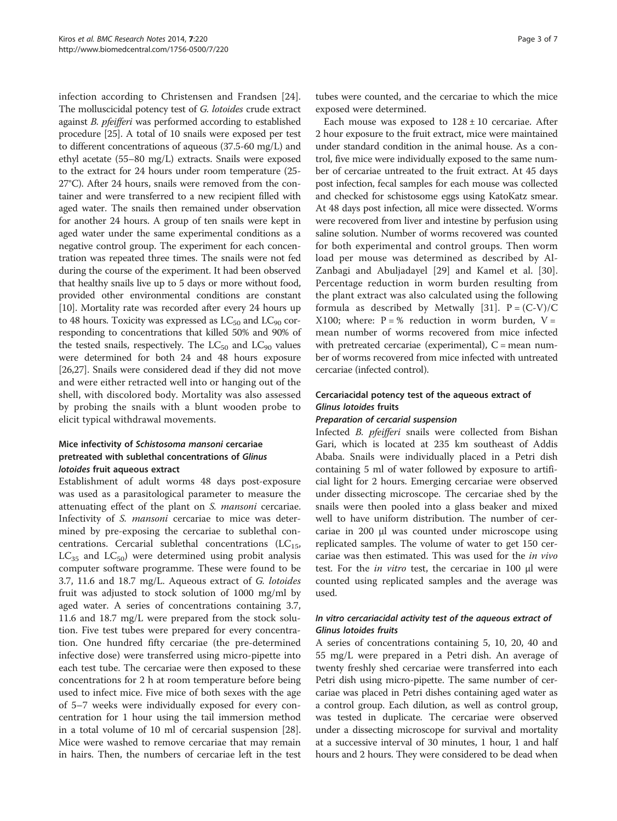infection according to Christensen and Frandsen [[24](#page-5-0)]. The molluscicidal potency test of G. lotoides crude extract against B. pfeifferi was performed according to established procedure [[25](#page-5-0)]. A total of 10 snails were exposed per test to different concentrations of aqueous (37.5-60 mg/L) and ethyl acetate (55–80 mg/L) extracts. Snails were exposed to the extract for 24 hours under room temperature (25- 27°C). After 24 hours, snails were removed from the container and were transferred to a new recipient filled with aged water. The snails then remained under observation for another 24 hours. A group of ten snails were kept in aged water under the same experimental conditions as a negative control group. The experiment for each concentration was repeated three times. The snails were not fed during the course of the experiment. It had been observed that healthy snails live up to 5 days or more without food, provided other environmental conditions are constant [[10](#page-5-0)]. Mortality rate was recorded after every 24 hours up to 48 hours. Toxicity was expressed as  $LC_{50}$  and  $LC_{90}$  corresponding to concentrations that killed 50% and 90% of the tested snails, respectively. The  $LC_{50}$  and  $LC_{90}$  values were determined for both 24 and 48 hours exposure [[26,27](#page-5-0)]. Snails were considered dead if they did not move and were either retracted well into or hanging out of the shell, with discolored body. Mortality was also assessed by probing the snails with a blunt wooden probe to elicit typical withdrawal movements.

# Mice infectivity of Schistosoma mansoni cercariae pretreated with sublethal concentrations of Glinus lotoides fruit aqueous extract

Establishment of adult worms 48 days post-exposure was used as a parasitological parameter to measure the attenuating effect of the plant on S. mansoni cercariae. Infectivity of S. mansoni cercariae to mice was determined by pre-exposing the cercariae to sublethal concentrations. Cercarial sublethal concentrations  $(LC_{15},$  $LC_{35}$  and  $LC_{50}$ ) were determined using probit analysis computer software programme. These were found to be 3.7, 11.6 and 18.7 mg/L. Aqueous extract of G. lotoides fruit was adjusted to stock solution of 1000 mg/ml by aged water. A series of concentrations containing 3.7, 11.6 and 18.7 mg/L were prepared from the stock solution. Five test tubes were prepared for every concentration. One hundred fifty cercariae (the pre-determined infective dose) were transferred using micro-pipette into each test tube. The cercariae were then exposed to these concentrations for 2 h at room temperature before being used to infect mice. Five mice of both sexes with the age of 5–7 weeks were individually exposed for every concentration for 1 hour using the tail immersion method in a total volume of 10 ml of cercarial suspension [\[28](#page-6-0)]. Mice were washed to remove cercariae that may remain in hairs. Then, the numbers of cercariae left in the test

tubes were counted, and the cercariae to which the mice exposed were determined.

Each mouse was exposed to  $128 \pm 10$  cercariae. After 2 hour exposure to the fruit extract, mice were maintained under standard condition in the animal house. As a control, five mice were individually exposed to the same number of cercariae untreated to the fruit extract. At 45 days post infection, fecal samples for each mouse was collected and checked for schistosome eggs using KatoKatz smear. At 48 days post infection, all mice were dissected. Worms were recovered from liver and intestine by perfusion using saline solution. Number of worms recovered was counted for both experimental and control groups. Then worm load per mouse was determined as described by Al-Zanbagi and Abuljadayel [\[29](#page-6-0)] and Kamel et al. [\[30](#page-6-0)]. Percentage reduction in worm burden resulting from the plant extract was also calculated using the following formula as described by Metwally [\[31](#page-6-0)].  $P = (C-V)/C$ X100; where:  $P = \%$  reduction in worm burden,  $V =$ mean number of worms recovered from mice infected with pretreated cercariae (experimental),  $C =$  mean number of worms recovered from mice infected with untreated cercariae (infected control).

# Cercariacidal potency test of the aqueous extract of Glinus lotoides fruits

#### Preparation of cercarial suspension

Infected B. pfeifferi snails were collected from Bishan Gari, which is located at 235 km southeast of Addis Ababa. Snails were individually placed in a Petri dish containing 5 ml of water followed by exposure to artificial light for 2 hours. Emerging cercariae were observed under dissecting microscope. The cercariae shed by the snails were then pooled into a glass beaker and mixed well to have uniform distribution. The number of cercariae in 200 μl was counted under microscope using replicated samples. The volume of water to get 150 cercariae was then estimated. This was used for the in vivo test. For the in vitro test, the cercariae in 100 μl were counted using replicated samples and the average was used.

## In vitro cercariacidal activity test of the aqueous extract of Glinus lotoides fruits

A series of concentrations containing 5, 10, 20, 40 and 55 mg/L were prepared in a Petri dish. An average of twenty freshly shed cercariae were transferred into each Petri dish using micro-pipette. The same number of cercariae was placed in Petri dishes containing aged water as a control group. Each dilution, as well as control group, was tested in duplicate. The cercariae were observed under a dissecting microscope for survival and mortality at a successive interval of 30 minutes, 1 hour, 1 and half hours and 2 hours. They were considered to be dead when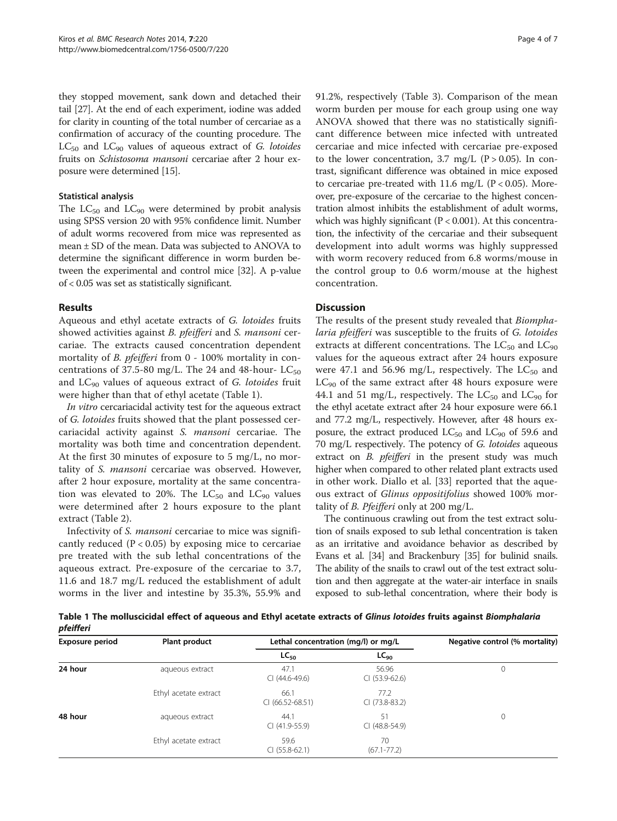they stopped movement, sank down and detached their tail [\[27\]](#page-5-0). At the end of each experiment, iodine was added for clarity in counting of the total number of cercariae as a confirmation of accuracy of the counting procedure. The  $LC_{50}$  and  $LC_{90}$  values of aqueous extract of G. lotoides fruits on Schistosoma mansoni cercariae after 2 hour exposure were determined [\[15\]](#page-5-0).

#### Statistical analysis

The  $LC_{50}$  and  $LC_{90}$  were determined by probit analysis using SPSS version 20 with 95% confidence limit. Number of adult worms recovered from mice was represented as mean ± SD of the mean. Data was subjected to ANOVA to determine the significant difference in worm burden between the experimental and control mice [\[32](#page-6-0)]. A p-value of < 0.05 was set as statistically significant.

# Results

Aqueous and ethyl acetate extracts of G. lotoides fruits showed activities against *B. pfeifferi* and *S. mansoni* cercariae. The extracts caused concentration dependent mortality of *B. pfeifferi* from 0 - 100% mortality in concentrations of 37.5-80 mg/L. The 24 and 48-hour-  $LC_{50}$ and  $LC_{90}$  values of aqueous extract of G. lotoides fruit were higher than that of ethyl acetate (Table 1).

In vitro cercariacidal activity test for the aqueous extract of G. lotoides fruits showed that the plant possessed cercariacidal activity against S. mansoni cercariae. The mortality was both time and concentration dependent. At the first 30 minutes of exposure to 5 mg/L, no mortality of S. mansoni cercariae was observed. However, after 2 hour exposure, mortality at the same concentration was elevated to 20%. The  $LC_{50}$  and  $LC_{90}$  values were determined after 2 hours exposure to the plant extract (Table [2\)](#page-4-0).

Infectivity of S. mansoni cercariae to mice was significantly reduced  $(P < 0.05)$  by exposing mice to cercariae pre treated with the sub lethal concentrations of the aqueous extract. Pre-exposure of the cercariae to 3.7, 11.6 and 18.7 mg/L reduced the establishment of adult worms in the liver and intestine by 35.3%, 55.9% and 91.2%, respectively (Table [3](#page-4-0)). Comparison of the mean worm burden per mouse for each group using one way ANOVA showed that there was no statistically significant difference between mice infected with untreated cercariae and mice infected with cercariae pre-exposed to the lower concentration, 3.7 mg/L ( $P > 0.05$ ). In contrast, significant difference was obtained in mice exposed to cercariae pre-treated with 11.6 mg/L ( $P < 0.05$ ). Moreover, pre-exposure of the cercariae to the highest concentration almost inhibits the establishment of adult worms, which was highly significant ( $P < 0.001$ ). At this concentration, the infectivity of the cercariae and their subsequent development into adult worms was highly suppressed with worm recovery reduced from 6.8 worms/mouse in the control group to 0.6 worm/mouse at the highest concentration.

# Discussion

The results of the present study revealed that Biomphalaria pfeifferi was susceptible to the fruits of G. lotoides extracts at different concentrations. The  $LC_{50}$  and  $LC_{90}$ values for the aqueous extract after 24 hours exposure were 47.1 and 56.96 mg/L, respectively. The  $LC_{50}$  and  $LC_{90}$  of the same extract after 48 hours exposure were 44.1 and 51 mg/L, respectively. The  $LC_{50}$  and  $LC_{90}$  for the ethyl acetate extract after 24 hour exposure were 66.1 and 77.2 mg/L, respectively. However, after 48 hours exposure, the extract produced  $LC_{50}$  and  $LC_{90}$  of 59.6 and 70 mg/L respectively. The potency of G. lotoides aqueous extract on *B. pfeifferi* in the present study was much higher when compared to other related plant extracts used in other work. Diallo et al. [\[33](#page-6-0)] reported that the aqueous extract of Glinus oppositifolius showed 100% mortality of B. Pfeifferi only at 200 mg/L.

The continuous crawling out from the test extract solution of snails exposed to sub lethal concentration is taken as an irritative and avoidance behavior as described by Evans et al. [\[34](#page-6-0)] and Brackenbury [\[35\]](#page-6-0) for bulinid snails. The ability of the snails to crawl out of the test extract solution and then aggregate at the water-air interface in snails exposed to sub-lethal concentration, where their body is

Table 1 The molluscicidal effect of aqueous and Ethyl acetate extracts of Glinus lotoides fruits against Biomphalaria pfeifferi

| Exposure period | Plant product         | Lethal concentration (mg/l) or mg/L | Negative control (% mortality) |   |
|-----------------|-----------------------|-------------------------------------|--------------------------------|---|
|                 |                       | $LC_{50}$                           | $LC_{90}$                      |   |
| 24 hour         | aqueous extract       | 47.1<br>CI (44.6-49.6)              | 56.96<br>$CI (53.9-62.6)$      | 0 |
|                 | Ethyl acetate extract | 66.1<br>$CI (66.52 - 68.51)$        | 77.2<br>CI (73.8-83.2)         |   |
| 48 hour         | aqueous extract       | 44.1<br>$CI(41.9-55.9)$             | 51<br>CI (48.8-54.9)           | 0 |
|                 | Ethyl acetate extract | 59.6<br>$CI (55.8-62.1)$            | 70<br>$(67.1 - 77.2)$          |   |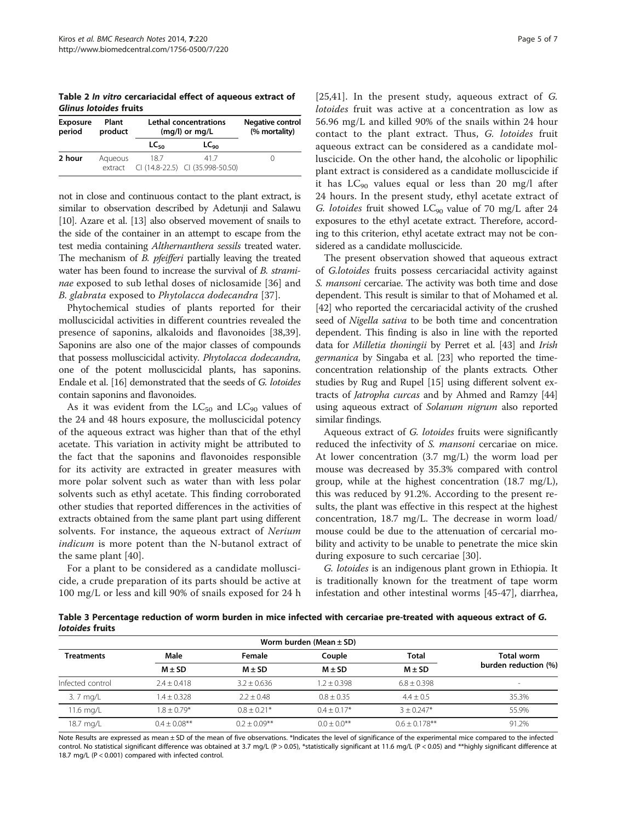<span id="page-4-0"></span>Table 2 In vitro cercariacidal effect of aqueous extract of Glinus lotoides fruits

| <b>Exposure</b><br>period | Plant<br>product   | <b>Lethal concentrations</b><br>$(mq/l)$ or $mq/L$ |                                         | Negative control<br>(% mortality) |
|---------------------------|--------------------|----------------------------------------------------|-----------------------------------------|-----------------------------------|
|                           |                    | <b>LC</b> <sub>50</sub>                            | LC <sub>90</sub>                        |                                   |
| 2 hour                    | Aqueous<br>extract | 187                                                | 417<br>CI (14.8-22.5) CI (35.998-50.50) |                                   |

not in close and continuous contact to the plant extract, is similar to observation described by Adetunji and Salawu [[10](#page-5-0)]. Azare et al. [\[13\]](#page-5-0) also observed movement of snails to the side of the container in an attempt to escape from the test media containing Althernanthera sessils treated water. The mechanism of *B. pfeifferi* partially leaving the treated water has been found to increase the survival of B. strami-nae exposed to sub lethal doses of niclosamide [[36\]](#page-6-0) and B. glabrata exposed to Phytolacca dodecandra [\[37](#page-6-0)].

Phytochemical studies of plants reported for their molluscicidal activities in different countries revealed the presence of saponins, alkaloids and flavonoides [\[38,39](#page-6-0)]. Saponins are also one of the major classes of compounds that possess molluscicidal activity. Phytolacca dodecandra, one of the potent molluscicidal plants, has saponins. Endale et al. [\[16\]](#page-5-0) demonstrated that the seeds of G. lotoides contain saponins and flavonoides.

As it was evident from the  $LC_{50}$  and  $LC_{90}$  values of the 24 and 48 hours exposure, the molluscicidal potency of the aqueous extract was higher than that of the ethyl acetate. This variation in activity might be attributed to the fact that the saponins and flavonoides responsible for its activity are extracted in greater measures with more polar solvent such as water than with less polar solvents such as ethyl acetate. This finding corroborated other studies that reported differences in the activities of extracts obtained from the same plant part using different solvents. For instance, the aqueous extract of Nerium *indicum* is more potent than the N-butanol extract of the same plant [\[40\]](#page-6-0).

For a plant to be considered as a candidate molluscicide, a crude preparation of its parts should be active at 100 mg/L or less and kill 90% of snails exposed for 24 h [[25](#page-5-0)[,41](#page-6-0)]. In the present study, aqueous extract of G. lotoides fruit was active at a concentration as low as 56.96 mg/L and killed 90% of the snails within 24 hour contact to the plant extract. Thus, G. lotoides fruit aqueous extract can be considered as a candidate molluscicide. On the other hand, the alcoholic or lipophilic plant extract is considered as a candidate molluscicide if it has  $LC_{90}$  values equal or less than 20 mg/l after 24 hours. In the present study, ethyl acetate extract of G. lotoides fruit showed  $LC_{90}$  value of 70 mg/L after 24 exposures to the ethyl acetate extract. Therefore, according to this criterion, ethyl acetate extract may not be considered as a candidate molluscicide.

The present observation showed that aqueous extract of G.lotoides fruits possess cercariacidal activity against S. mansoni cercariae. The activity was both time and dose dependent. This result is similar to that of Mohamed et al. [[42](#page-6-0)] who reported the cercariacidal activity of the crushed seed of Nigella sativa to be both time and concentration dependent. This finding is also in line with the reported data for Milletia thoningii by Perret et al. [\[43\]](#page-6-0) and Irish germanica by Singaba et al. [\[23\]](#page-5-0) who reported the timeconcentration relationship of the plants extracts. Other studies by Rug and Rupel [[15](#page-5-0)] using different solvent extracts of *Jatropha curcas* and by Ahmed and Ramzy [[44](#page-6-0)] using aqueous extract of Solanum nigrum also reported similar findings.

Aqueous extract of G. lotoides fruits were significantly reduced the infectivity of S. mansoni cercariae on mice. At lower concentration (3.7 mg/L) the worm load per mouse was decreased by 35.3% compared with control group, while at the highest concentration (18.7 mg/L), this was reduced by 91.2%. According to the present results, the plant was effective in this respect at the highest concentration, 18.7 mg/L. The decrease in worm load/ mouse could be due to the attenuation of cercarial mobility and activity to be unable to penetrate the mice skin during exposure to such cercariae [[30](#page-6-0)].

G. lotoides is an indigenous plant grown in Ethiopia. It is traditionally known for the treatment of tape worm infestation and other intestinal worms [\[45](#page-6-0)-[47\]](#page-6-0), diarrhea,

Table 3 Percentage reduction of worm burden in mice infected with cercariae pre-treated with aqueous extract of G. lotoides fruits

| Worm burden (Mean $\pm$ SD) |                |                 |                |                     |                                    |  |  |
|-----------------------------|----------------|-----------------|----------------|---------------------|------------------------------------|--|--|
| <b>Treatments</b>           | Male           | Female          | Couple         | Total<br>$M \pm SD$ | Total worm<br>burden reduction (%) |  |  |
|                             | $M \pm SD$     | $M + SD$        | $M + SD$       |                     |                                    |  |  |
| Infected control            | $7.4 + 0.418$  | $3.2 + 0.636$   | $1.2 + 0.398$  | $6.8 + 0.398$       | $\qquad \qquad \blacksquare$       |  |  |
| 3. 7 mg/L                   | $1.4 + 0.328$  | $2.2 + 0.48$    | $0.8 + 0.35$   | $4.4 + 0.5$         | 35.3%                              |  |  |
| 11.6 mg/L                   | $1.8 + 0.79*$  | $0.8 + 0.21*$   | $0.4 + 0.17*$  | $3 + 0.247*$        | 55.9%                              |  |  |
| 18.7 mg/L                   | $04 + 0.08***$ | $0.2 + 0.09***$ | $0.0 + 0.0$ ** | $06 + 0178$ **      | 91.2%                              |  |  |

Note Results are expressed as mean ± SD of the mean of five observations. \*Indicates the level of significance of the experimental mice compared to the infected control. No statistical significant difference was obtained at 3.7 mg/L (P > 0.05), \*statistically significant at 11.6 mg/L (P < 0.05) and \*\*highly significant difference at 18.7 mg/L (P < 0.001) compared with infected control.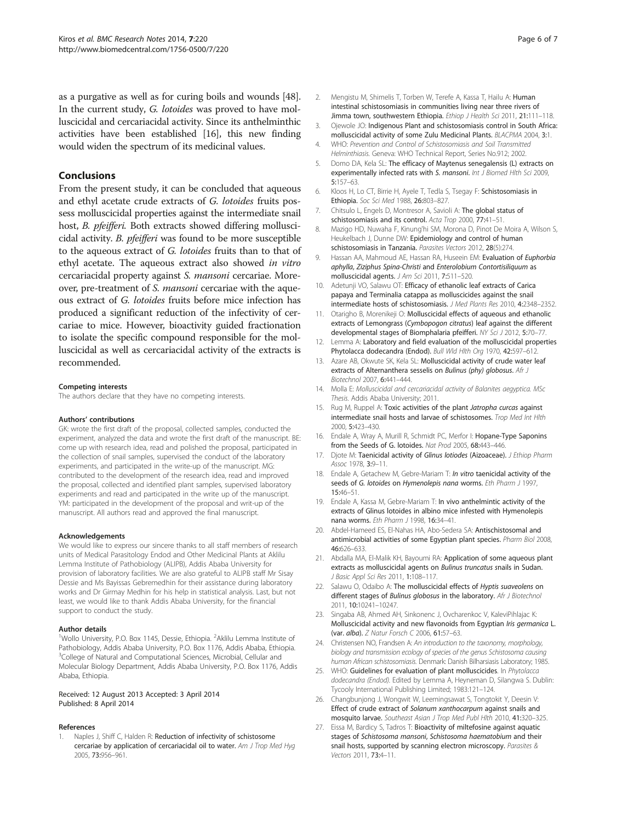<span id="page-5-0"></span>as a purgative as well as for curing boils and wounds [[48](#page-6-0)]. In the current study, G. lotoides was proved to have molluscicidal and cercariacidal activity. Since its anthelminthic activities have been established [16], this new finding would widen the spectrum of its medicinal values.

#### Conclusions

From the present study, it can be concluded that aqueous and ethyl acetate crude extracts of G. lotoides fruits possess molluscicidal properties against the intermediate snail host, *B. pfeifferi*. Both extracts showed differing molluscicidal activity. B. pfeifferi was found to be more susceptible to the aqueous extract of G. lotoides fruits than to that of ethyl acetate. The aqueous extract also showed in vitro cercariacidal property against S. mansoni cercariae. Moreover, pre-treatment of S. mansoni cercariae with the aqueous extract of G. lotoides fruits before mice infection has produced a significant reduction of the infectivity of cercariae to mice. However, bioactivity guided fractionation to isolate the specific compound responsible for the molluscicidal as well as cercariacidal activity of the extracts is recommended.

#### Competing interests

The authors declare that they have no competing interests.

#### Authors' contributions

GK: wrote the first draft of the proposal, collected samples, conducted the experiment, analyzed the data and wrote the first draft of the manuscript. BE: come up with research idea, read and polished the proposal, participated in the collection of snail samples, supervised the conduct of the laboratory experiments, and participated in the write-up of the manuscript. MG: contributed to the development of the research idea, read and improved the proposal, collected and identified plant samples, supervised laboratory experiments and read and participated in the write up of the manuscript. YM: participated in the development of the proposal and writ-up of the manuscript. All authors read and approved the final manuscript.

#### Acknowledgements

We would like to express our sincere thanks to all staff members of research units of Medical Parasitology Endod and Other Medicinal Plants at Aklilu Lemma Institute of Pathobiology (ALIPB), Addis Ababa University for provision of laboratory facilities. We are also grateful to ALIPB staff Mr Sisay Dessie and Ms Bayissas Gebremedhin for their assistance during laboratory works and Dr Girmay Medhin for his help in statistical analysis. Last, but not least, we would like to thank Addis Ababa University, for the financial support to conduct the study.

#### Author details

<sup>1</sup>Wollo University, P.O. Box 1145, Dessie, Ethiopia. <sup>2</sup>Aklilu Lemma Institute of Pathobiology, Addis Ababa University, P.O. Box 1176, Addis Ababa, Ethiopia. <sup>3</sup>College of Natural and Computational Sciences, Microbial, Cellular and Molecular Biology Department, Addis Ababa University, P.O. Box 1176, Addis Ababa, Ethiopia.

#### Received: 12 August 2013 Accepted: 3 April 2014 Published: 8 April 2014

#### References

Naples J, Shiff C, Halden R: Reduction of infectivity of schistosome cercariae by application of cercariacidal oil to water. Am J Trop Med Hyg 2005, 73:956–961.

- 2. Mengistu M, Shimelis T, Torben W, Terefe A, Kassa T, Hailu A: Human intestinal schistosomiasis in communities living near three rivers of Jimma town, southwestern Ethiopia. Ethiop J Health Sci 2011, 21:111-118.
- 3. Ojewole JO: Indigenous Plant and schistosomiasis control in South Africa: molluscicidal activity of some Zulu Medicinal Plants. BLACPMA 2004, 3:1.
- 4. WHO: Prevention and Control of Schistosomiasis and Soil Transmitted Helminthiasis. Geneva: WHO Technical Report, Series No.912; 2002.
- 5. Domo DA, Kela SL: The efficacy of Maytenus senegalensis (L) extracts on experimentally infected rats with S. mansoni. Int J Biomed Hlth Sci 2009, 5:157–63.
- 6. Kloos H, Lo CT, Birrie H, Ayele T, Tedla S, Tsegay F: Schistosomiasis in Ethiopia. Soc Sci Med 1988, 26:803–827.
- 7. Chitsulo L, Engels D, Montresor A, Savioli A: The global status of schistosomiasis and its control. Acta Trop 2000, 77:41–51.
- 8. Mazigo HD, Nuwaha F, Kinung'hi SM, Morona D, Pinot De Moira A, Wilson S, Heukelbach J, Dunne DW: Epidemiology and control of human schistosomiasis in Tanzania. Parasites Vectors 2012, 28(5):274.
- 9. Hassan AA, Mahmoud AE, Hassan RA, Huseein EM: Evaluation of Euphorbia aphylla, Ziziphus Spina-Christi and Enterolobium Contortisiliquum as molluscicidal agents. J Am Sci 2011, 7:511–520.
- 10. Adetunji VO, Salawu OT: Efficacy of ethanolic leaf extracts of Carica papaya and Terminalia catappa as molluscicides against the snail intermediate hosts of schistosomiasis. J Med Plants Res 2010, 4:2348–2352.
- 11. Otarigho B, Morenikeji O: Molluscicidal effects of aqueous and ethanolic extracts of Lemongrass (Cymbopogon citratus) leaf against the different developmental stages of Biomphalaria pfeifferi. NY Sci J 2012, 5:70-77.
- 12. Lemma A: Laboratory and field evaluation of the molluscicidal properties Phytolacca dodecandra (Endod). Bull Wld Hlth Org 1970, 42:597-612.
- 13. Azare AB, Okwute SK, Kela SL: Molluscicidal activity of crude water leaf extracts of Alternanthera sesselis on Bulinus (phy) globosus. Afr J Biotechnol 2007, 6:441–444.
- 14. Molla E: Molluscicidal and cercariacidal activity of Balanites aegyptica. MSc Thesis. Addis Ababa University; 2011.
- 15. Rug M, Ruppel A: Toxic activities of the plant Jatropha curcas against intermediate snail hosts and larvae of schistosomes. Trop Med Int Hlth 2000, 5:423–430.
- 16. Endale A, Wray A, Murill R, Schmidt PC, Merfor I: Hopane-Type Saponins from the Seeds of G. lotoides. Nat Prod 2005, 68:443–446.
- 17. Djote M: Taenicidal activity of Glinus lotiodes (Aizoaceae). J Ethiop Pharm Assoc 1978, 3:9–11.
- 18. Endale A, Getachew M, Gebre-Mariam T: In vitro taenicidal activity of the seeds of G. lotoides on Hymenolepis nana worms. Eth Pharm J 1997, 15:46–51.
- 19. Endale A, Kassa M, Gebre-Mariam T: In vivo anthelmintic activity of the extracts of Glinus lotoides in albino mice infested with Hymenolepis nana worms. Eth Pharm J 1998, 16:34–41.
- 20. Abdel-Hameed ES, El-Nahas HA, Abo-Sedera SA: Antischistosomal and antimicrobial activities of some Egyptian plant species. Pharm Biol 2008, 46:626–633.
- 21. Abdalla MA, El-Malik KH, Bayoumi RA: Application of some aqueous plant extracts as molluscicidal agents on Bulinus truncatus snails in Sudan. J Basic Appl Sci Res 2011, 1:108–117.
- 22. Salawu O, Odaibo A: The molluscicidal effects of Hyptis suaveolens on different stages of Bulinus globosus in the laboratory. Afr J Biotechnol 2011, 10:10241–10247.
- 23. Singaba AB, Ahmed AH, Sinkonenc J, Ovcharenkoc V, KaleviPihlajac K: Molluscicidal activity and new flavonoids from Egyptian Iris germanica L. (var. alba). Z Natur Forsch C 2006, 61:57–63.
- 24. Christensen NO, Frandsen A: An introduction to the taxonomy, morphology, biology and transmission ecology of species of the genus Schistosoma causing human African schistosomiasis. Denmark: Danish Bilharsiasis Laboratory; 1985.
- 25. WHO: Guidelines for evaluation of plant molluscicides. In Phytolacca dodecandra (Endod). Edited by Lemma A, Heyneman D, Silangwa S. Dublin: Tycooly International Publishing Limited; 1983:121–124.
- 26. Changbunjong J, Wongwit W, Leemingsawat S, Tongtokit Y, Deesin V: Effect of crude extract of Solanum xanthocarpum against snails and mosquito larvae. Southeast Asian J Trop Med Publ Hlth 2010, 41:320–325.
- 27. Eissa M, Bardicy S, Tadros T: Bioactivity of miltefosine against aquatic stages of Schistosoma mansoni, Schistosoma haematobium and their snail hosts, supported by scanning electron microscopy. Parasites & Vectors 2011, 73:4–11.